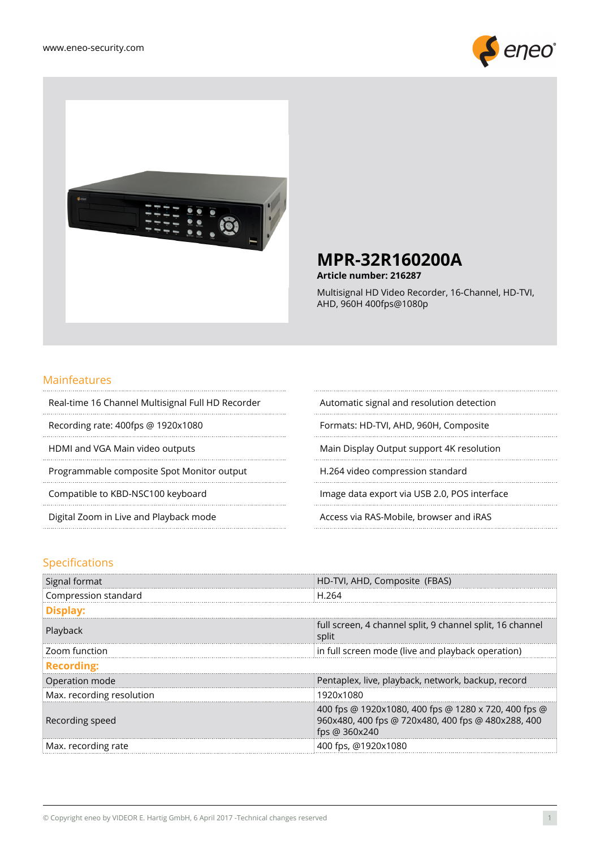



**Article number: 216287**

Multisignal HD Video Recorder, 16-Channel, HD-TVI, AHD, 960H 400fps@1080p

#### Mainfeatures

. . . . . . . . . . . . . . . . . .

. . . . . . . . . . . . .

 $\cdots$ 

Real-time 16 Channel Multisignal Full HD Recorder Automatic signal and resolution detection

. . . . . . . . . . . . . . . . . .

Recording rate: 400fps @ 1920x1080 Formats: HD-TVI, AHD, 960H, Composite

Programmable composite Spot Monitor output H.264 video compression standard

HDMI and VGA Main video outputs Main Display Output support 4K resolution

Compatible to KBD-NSC100 keyboard **Image data export via USB 2.0, POS interface** 

Digital Zoom in Live and Playback mode Access via RAS-Mobile, browser and iRAS

#### Specifications

| Signal format             | HD-TVI, AHD, Composite (FBAS)                                                                                               |
|---------------------------|-----------------------------------------------------------------------------------------------------------------------------|
| Compression standard      | H.264                                                                                                                       |
| Display:                  |                                                                                                                             |
| Playback                  | full screen, 4 channel split, 9 channel split, 16 channel<br>split                                                          |
| Zoom function             | in full screen mode (live and playback operation)                                                                           |
| <b>Recording:</b>         |                                                                                                                             |
| Operation mode            | Pentaplex, live, playback, network, backup, record                                                                          |
| Max. recording resolution | 1920x1080                                                                                                                   |
| Recording speed           | 400 fps @ 1920x1080, 400 fps @ 1280 x 720, 400 fps @<br>960x480, 400 fps @ 720x480, 400 fps @ 480x288, 400<br>fps @ 360x240 |
| Max. recording rate       | 400 fps, @1920x1080                                                                                                         |

 $\cdots$ 

 $\cdots$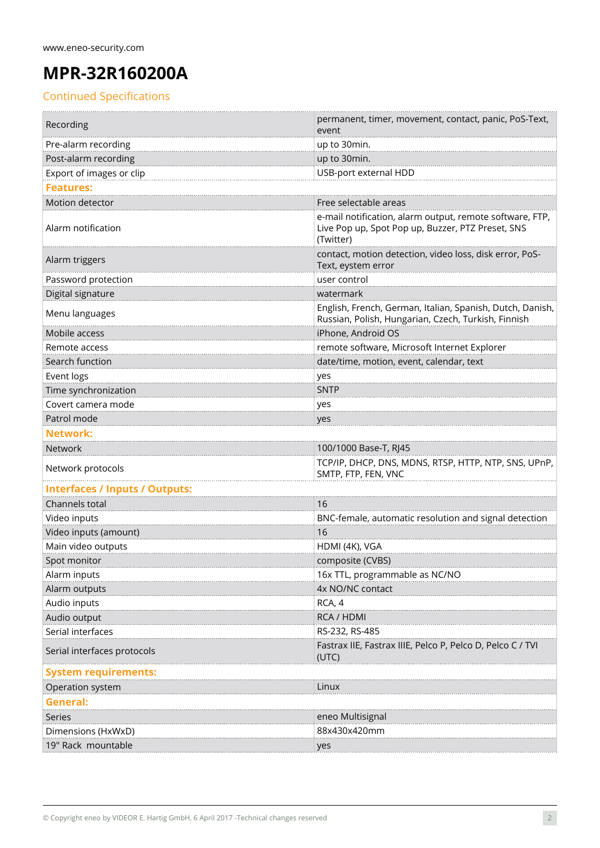### Continued Specifications

| Recording                             | permanent, timer, movement, contact, panic, PoS-Text,                                                                      |
|---------------------------------------|----------------------------------------------------------------------------------------------------------------------------|
|                                       | event                                                                                                                      |
| Pre-alarm recording                   | up to 30min.                                                                                                               |
| Post-alarm recording                  | up to 30min.                                                                                                               |
| Export of images or clip              | USB-port external HDD                                                                                                      |
| <b>Features:</b>                      |                                                                                                                            |
| Motion detector                       | Free selectable areas                                                                                                      |
| Alarm notification                    | e-mail notification, alarm output, remote software, FTP,<br>Live Pop up, Spot Pop up, Buzzer, PTZ Preset, SNS<br>(Twitter) |
| Alarm triggers                        | contact, motion detection, video loss, disk error, PoS-<br>Text, eystem error                                              |
| Password protection                   | user control                                                                                                               |
| Digital signature                     | watermark                                                                                                                  |
| Menu languages                        | English, French, German, Italian, Spanish, Dutch, Danish,<br>Russian, Polish, Hungarian, Czech, Turkish, Finnish           |
| Mobile access                         | iPhone, Android OS                                                                                                         |
| Remote access                         | remote software, Microsoft Internet Explorer                                                                               |
| Search function                       | date/time, motion, event, calendar, text                                                                                   |
| Event logs                            | yes                                                                                                                        |
| Time synchronization                  | <b>SNTP</b>                                                                                                                |
| Covert camera mode                    | yes                                                                                                                        |
| Patrol mode                           | yes                                                                                                                        |
| <b>Network:</b>                       |                                                                                                                            |
| Network                               | 100/1000 Base-T, RJ45                                                                                                      |
| Network protocols                     | TCP/IP, DHCP, DNS, MDNS, RTSP, HTTP, NTP, SNS, UPnP,<br>SMTP, FTP, FEN, VNC                                                |
| <b>Interfaces / Inputs / Outputs:</b> |                                                                                                                            |
| Channels total                        | 16                                                                                                                         |
| Video inputs                          | BNC-female, automatic resolution and signal detection                                                                      |
| Video inputs (amount)                 | 16                                                                                                                         |
| Main video outputs                    | HDMI (4K), VGA                                                                                                             |
| Spot monitor                          | composite (CVBS)                                                                                                           |
| Alarm inputs                          | 16x TTL, programmable as NC/NO                                                                                             |
| Alarm outputs                         | 4x NO/NC contact                                                                                                           |
| Audio inputs                          | RCA, 4                                                                                                                     |
| Audio output                          | RCA / HDMI                                                                                                                 |
| Serial interfaces                     | RS-232, RS-485                                                                                                             |
| Serial interfaces protocols           | Fastrax IIE, Fastrax IIIE, Pelco P, Pelco D, Pelco C / TVI<br>(UTC)                                                        |
| <b>System requirements:</b>           |                                                                                                                            |
| Operation system                      | Linux                                                                                                                      |
| General:                              |                                                                                                                            |
| Series                                | eneo Multisignal                                                                                                           |
| Dimensions (HxWxD)                    | 88x430x420mm                                                                                                               |
| 19" Rack mountable                    | yes                                                                                                                        |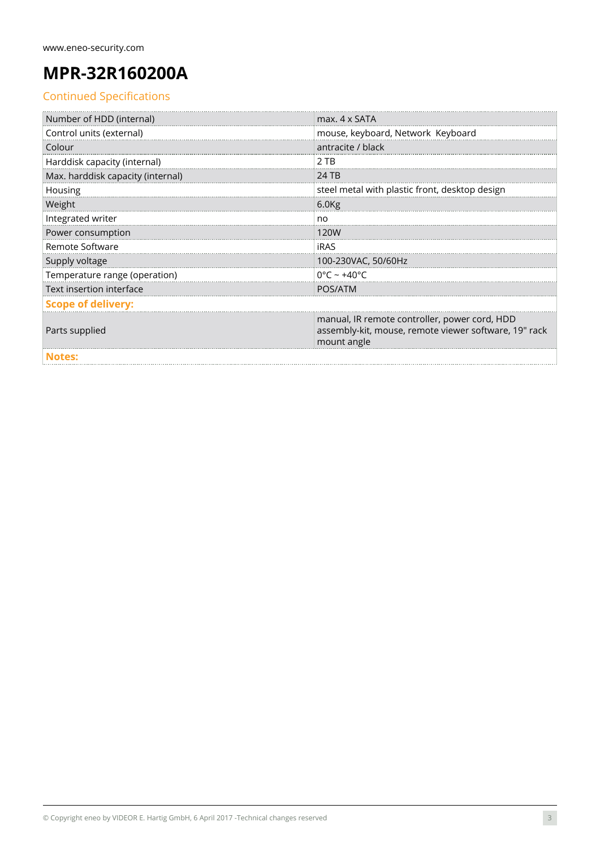### Continued Specifications

| Number of HDD (internal)          | max. 4 x SATA                                                                                                         |  |
|-----------------------------------|-----------------------------------------------------------------------------------------------------------------------|--|
| Control units (external)          | mouse, keyboard, Network Keyboard                                                                                     |  |
| Colour                            | antracite / black                                                                                                     |  |
| Harddisk capacity (internal)      | 2 TB                                                                                                                  |  |
| Max. harddisk capacity (internal) | 24 TB                                                                                                                 |  |
| Housing                           | steel metal with plastic front, desktop design                                                                        |  |
| Weight                            | 6.0 <sub>Kg</sub>                                                                                                     |  |
| Integrated writer                 | no                                                                                                                    |  |
| Power consumption                 | 120W                                                                                                                  |  |
| Remote Software                   | <b>iRAS</b>                                                                                                           |  |
| Supply voltage                    | 100-230VAC, 50/60Hz                                                                                                   |  |
| Temperature range (operation)     | $0^{\circ}$ C ~ +40 $^{\circ}$ C                                                                                      |  |
| Text insertion interface          | POS/ATM                                                                                                               |  |
| <b>Scope of delivery:</b>         |                                                                                                                       |  |
| Parts supplied                    | manual, IR remote controller, power cord, HDD<br>assembly-kit, mouse, remote viewer software, 19" rack<br>mount angle |  |
| <b>Notes:</b>                     |                                                                                                                       |  |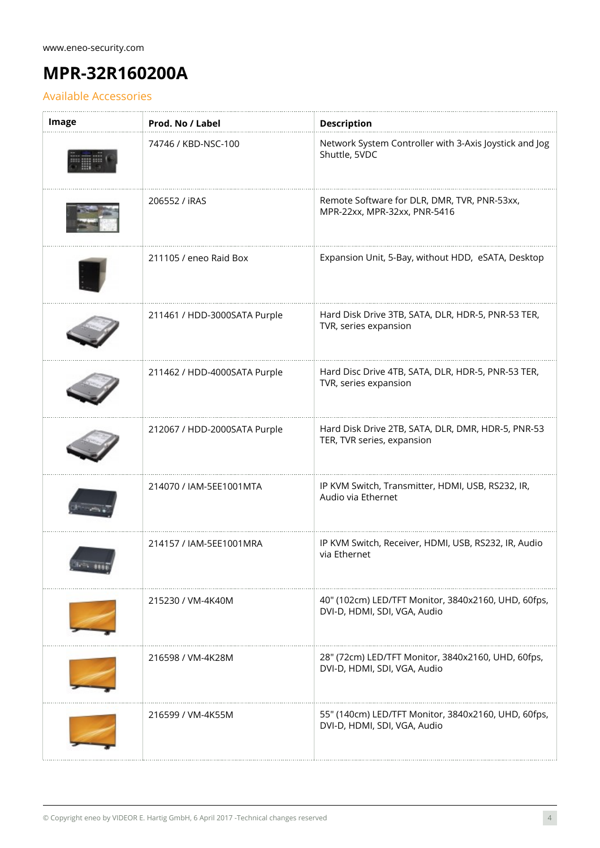### Available Accessories

| Image | Prod. No / Label             | <b>Description</b>                                                                  |
|-------|------------------------------|-------------------------------------------------------------------------------------|
|       | 74746 / KBD-NSC-100          | Network System Controller with 3-Axis Joystick and Jog<br>Shuttle, 5VDC             |
|       | 206552 / iRAS                | Remote Software for DLR, DMR, TVR, PNR-53xx,<br>MPR-22xx, MPR-32xx, PNR-5416        |
|       | 211105 / eneo Raid Box       | Expansion Unit, 5-Bay, without HDD, eSATA, Desktop                                  |
|       | 211461 / HDD-3000SATA Purple | Hard Disk Drive 3TB, SATA, DLR, HDR-5, PNR-53 TER,<br>TVR, series expansion         |
|       | 211462 / HDD-4000SATA Purple | Hard Disc Drive 4TB, SATA, DLR, HDR-5, PNR-53 TER,<br>TVR, series expansion         |
|       | 212067 / HDD-2000SATA Purple | Hard Disk Drive 2TB, SATA, DLR, DMR, HDR-5, PNR-53<br>TER, TVR series, expansion    |
|       | 214070 / IAM-5EE1001MTA      | IP KVM Switch, Transmitter, HDMI, USB, RS232, IR,<br>Audio via Ethernet             |
|       | 214157 / IAM-5EE1001MRA      | IP KVM Switch, Receiver, HDMI, USB, RS232, IR, Audio<br>via Ethernet                |
|       | 215230 / VM-4K40M            | 40" (102cm) LED/TFT Monitor, 3840x2160, UHD, 60fps,<br>DVI-D, HDMI, SDI, VGA, Audio |
|       | 216598 / VM-4K28M            | 28" (72cm) LED/TFT Monitor, 3840x2160, UHD, 60fps,<br>DVI-D, HDMI, SDI, VGA, Audio  |
|       | 216599 / VM-4K55M            | 55" (140cm) LED/TFT Monitor, 3840x2160, UHD, 60fps,<br>DVI-D, HDMI, SDI, VGA, Audio |